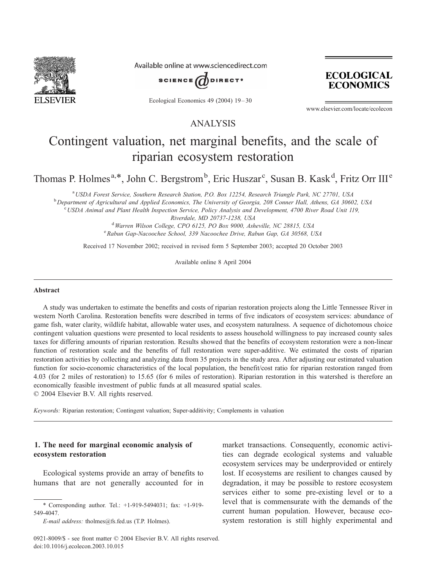

Available online at www.sciencedirect.com



Ecological Economics 49 (2004) 19-30

**ECOLOGICAL ECONOMICS** 

www.elsevier.com/locate/ecolecon

ANALYSIS

# Contingent valuation, net marginal benefits, and the scale of riparian ecosystem restoration

Thomas P. Holmes<sup>a,\*</sup>, John C. Bergstrom<sup>b</sup>, Eric Huszar<sup>c</sup>, Susan B. Kask<sup>d</sup>, Fritz Orr III<sup>e</sup>

<sup>a</sup> USDA Forest Service, Southern Research Station, P.O. Box 12254, Research Triangle Park, NC 27701, USA <sup>b</sup> Department of Agricultural and Applied Economics, The University of Georgia, 208 Conner Hall, Athens, GA 30602, USA <sup>c</sup> USDA Animal and Plant Health Inspection Service, Policy Analysis and Development, 4700 River Road Unit 119, Riverdale, MD 20737-1238, USA<br>d Wayyan Wilson Colloge, CPO 6125, PO Pox 0000, Ach

 $^{4}$ Warren Wilson College, CPO 6125, PO Box 9000, Asheville, NC 28815, USA<br> $^{6}$  Pabun Gan Nasoochae School, 330 Nasoochae Drive, Pabun Gan GA 30568, L Rabun Gap-Nacoochee School, 339 Nacoochee Drive, Rabun Gap, GA 30568, USA

Received 17 November 2002; received in revised form 5 September 2003; accepted 20 October 2003

Available online 8 April 2004

#### Abstract

A study was undertaken to estimate the benefits and costs of riparian restoration projects along the Little Tennessee River in western North Carolina. Restoration benefits were described in terms of five indicators of ecosystem services: abundance of game fish, water clarity, wildlife habitat, allowable water uses, and ecosystem naturalness. A sequence of dichotomous choice contingent valuation questions were presented to local residents to assess household willingness to pay increased county sales taxes for differing amounts of riparian restoration. Results showed that the benefits of ecosystem restoration were a non-linear function of restoration scale and the benefits of full restoration were super-additive. We estimated the costs of riparian restoration activities by collecting and analyzing data from 35 projects in the study area. After adjusting our estimated valuation function for socio-economic characteristics of the local population, the benefit/cost ratio for riparian restoration ranged from 4.03 (for 2 miles of restoration) to 15.65 (for 6 miles of restoration). Riparian restoration in this watershed is therefore an economically feasible investment of public funds at all measured spatial scales.  $© 2004 Elsevier B.V. All rights reserved.$ 

Keywords: Riparian restoration; Contingent valuation; Super-additivity; Complements in valuation

## 1. The need for marginal economic analysis of ecosystem restoration

Ecological systems provide an array of benefits to humans that are not generally accounted for in market transactions. Consequently, economic activities can degrade ecological systems and valuable ecosystem services may be underprovided or entirely lost. If ecosystems are resilient to changes caused by degradation, it may be possible to restore ecosystem services either to some pre-existing level or to a level that is commensurate with the demands of the current human population. However, because ecosystem restoration is still highly experimental and

<sup>\*</sup> Corresponding author. Tel.: +1-919-5494031; fax: +1-919- 549-4047.

E-mail address: tholmes@fs.fed.us (T.P. Holmes).

<sup>0921-8009/\$ -</sup> see front matter © 2004 Elsevier B.V. All rights reserved. doi:10.1016/j.ecolecon.2003.10.015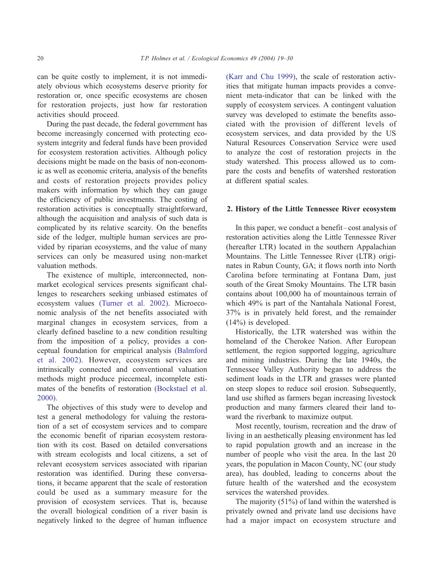can be quite costly to implement, it is not immediately obvious which ecosystems deserve priority for restoration or, once specific ecosystems are chosen for restoration projects, just how far restoration activities should proceed.

During the past decade, the federal government has become increasingly concerned with protecting ecosystem integrity and federal funds have been provided for ecosystem restoration activities. Although policy decisions might be made on the basis of non-economic as well as economic criteria, analysis of the benefits and costs of restoration projects provides policy makers with information by which they can gauge the efficiency of public investments. The costing of restoration activities is conceptually straightforward, although the acquisition and analysis of such data is complicated by its relative scarcity. On the benefits side of the ledger, multiple human services are provided by riparian ecosystems, and the value of many services can only be measured using non-market valuation methods.

The existence of multiple, interconnected, nonmarket ecological services presents significant challenges to researchers seeking unbiased estimates of ecosystem values [\(Turner et al. 2002\).](#page-11-0) Microeconomic analysis of the net benefits associated with marginal changes in ecosystem services, from a clearly defined baseline to a new condition resulting from the imposition of a policy, provides a conceptual foundation for empirical analysis [\(Balmford](#page-11-0) et al. 2002). However, ecosystem services are intrinsically connected and conventional valuation methods might produce piecemeal, incomplete estimates of the benefits of restoration [\(Bockstael et al.](#page-11-0) 2000).

The objectives of this study were to develop and test a general methodology for valuing the restoration of a set of ecosystem services and to compare the economic benefit of riparian ecosystem restoration with its cost. Based on detailed conversations with stream ecologists and local citizens, a set of relevant ecosystem services associated with riparian restoration was identified. During these conversations, it became apparent that the scale of restoration could be used as a summary measure for the provision of ecosystem services. That is, because the overall biological condition of a river basin is negatively linked to the degree of human influence

[\(Karr and Chu 1999\),](#page-11-0) the scale of restoration activities that mitigate human impacts provides a convenient meta-indicator that can be linked with the supply of ecosystem services. A contingent valuation survey was developed to estimate the benefits associated with the provision of different levels of ecosystem services, and data provided by the US Natural Resources Conservation Service were used to analyze the cost of restoration projects in the study watershed. This process allowed us to compare the costs and benefits of watershed restoration at different spatial scales.

#### 2. History of the Little Tennessee River ecosystem

In this paper, we conduct a benefit –cost analysis of restoration activities along the Little Tennessee River (hereafter LTR) located in the southern Appalachian Mountains. The Little Tennessee River (LTR) originates in Rabun County, GA; it flows north into North Carolina before terminating at Fontana Dam, just south of the Great Smoky Mountains. The LTR basin contains about 100,000 ha of mountainous terrain of which 49% is part of the Nantahala National Forest, 37% is in privately held forest, and the remainder (14%) is developed.

Historically, the LTR watershed was within the homeland of the Cherokee Nation. After European settlement, the region supported logging, agriculture and mining industries. During the late 1940s, the Tennessee Valley Authority began to address the sediment loads in the LTR and grasses were planted on steep slopes to reduce soil erosion. Subsequently, land use shifted as farmers began increasing livestock production and many farmers cleared their land toward the riverbank to maximize output.

Most recently, tourism, recreation and the draw of living in an aesthetically pleasing environment has led to rapid population growth and an increase in the number of people who visit the area. In the last 20 years, the population in Macon County, NC (our study area), has doubled, leading to concerns about the future health of the watershed and the ecosystem services the watershed provides.

The majority (51%) of land within the watershed is privately owned and private land use decisions have had a major impact on ecosystem structure and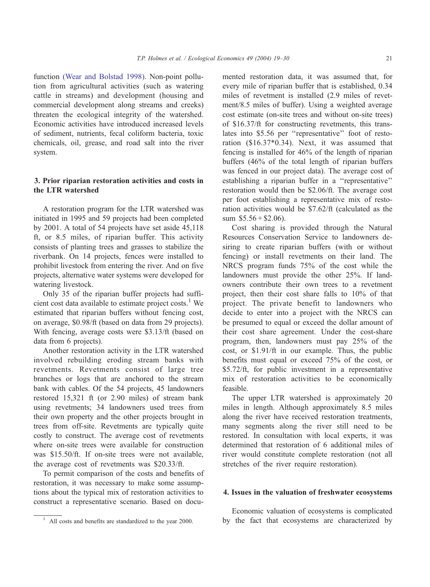function [\(Wear and Bolstad 1998\).](#page-11-0) Non-point pollution from agricultural activities (such as watering cattle in streams) and development (housing and commercial development along streams and creeks) threaten the ecological integrity of the watershed. Economic activities have introduced increased levels of sediment, nutrients, fecal coliform bacteria, toxic chemicals, oil, grease, and road salt into the river system.

# 3. Prior riparian restoration activities and costs in the LTR watershed

A restoration program for the LTR watershed was initiated in 1995 and 59 projects had been completed by 2001. A total of 54 projects have set aside 45,118 ft, or 8.5 miles, of riparian buffer. This activity consists of planting trees and grasses to stabilize the riverbank. On 14 projects, fences were installed to prohibit livestock from entering the river. And on five projects, alternative water systems were developed for watering livestock.

Only 35 of the riparian buffer projects had sufficient cost data available to estimate project costs.<sup>1</sup> We estimated that riparian buffers without fencing cost, on average, \$0.98/ft (based on data from 29 projects). With fencing, average costs were \$3.13/ft (based on data from 6 projects).

Another restoration activity in the LTR watershed involved rebuilding eroding stream banks with revetments. Revetments consist of large tree branches or logs that are anchored to the stream bank with cables. Of the 54 projects, 45 landowners restored 15,321 ft (or 2.90 miles) of stream bank using revetments; 34 landowners used trees from their own property and the other projects brought in trees from off-site. Revetments are typically quite costly to construct. The average cost of revetments where on-site trees were available for construction was \$15.50/ft. If on-site trees were not available, the average cost of revetments was \$20.33/ft.

To permit comparison of the costs and benefits of restoration, it was necessary to make some assumptions about the typical mix of restoration activities to construct a representative scenario. Based on documented restoration data, it was assumed that, for every mile of riparian buffer that is established, 0.34 miles of revetment is installed (2.9 miles of revetment/8.5 miles of buffer). Using a weighted average cost estimate (on-site trees and without on-site trees) of \$16.37/ft for constructing revetments, this translates into \$5.56 per ''representative'' foot of restoration (\$16.37\*0.34). Next, it was assumed that fencing is installed for 46% of the length of riparian buffers (46% of the total length of riparian buffers was fenced in our project data). The average cost of establishing a riparian buffer in a ''representative'' restoration would then be \$2.06/ft. The average cost per foot establishing a representative mix of restoration activities would be \$7.62/ft (calculated as the sum  $$5.56 + $2.06$ ).

Cost sharing is provided through the Natural Resources Conservation Service to landowners desiring to create riparian buffers (with or without fencing) or install revetments on their land. The NRCS program funds 75% of the cost while the landowners must provide the other 25%. If landowners contribute their own trees to a revetment project, then their cost share falls to 10% of that project. The private benefit to landowners who decide to enter into a project with the NRCS can be presumed to equal or exceed the dollar amount of their cost share agreement. Under the cost-share program, then, landowners must pay 25% of the cost, or \$1.91/ft in our example. Thus, the public benefits must equal or exceed 75% of the cost, or \$5.72/ft, for public investment in a representative mix of restoration activities to be economically feasible.

The upper LTR watershed is approximately 20 miles in length. Although approximately 8.5 miles along the river have received restoration treatments, many segments along the river still need to be restored. In consultation with local experts, it was determined that restoration of 6 additional miles of river would constitute complete restoration (not all stretches of the river require restoration).

### 4. Issues in the valuation of freshwater ecosystems

Economic valuation of ecosystems is complicated  $\frac{1}{1}$  All costs and benefits are standardized to the year 2000. by the fact that ecosystems are characterized by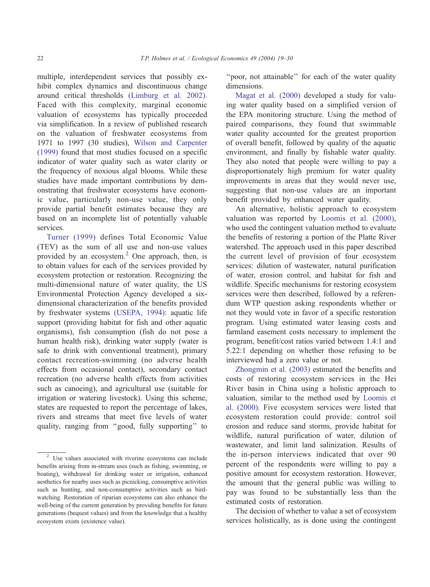multiple, interdependent services that possibly exhibit complex dynamics and discontinuous change around critical thresholds [\(Limburg et al. 2002\).](#page-11-0) Faced with this complexity, marginal economic valuation of ecosystems has typically proceeded via simplification. In a review of published research on the valuation of freshwater ecosystems from 1971 to 1997 (30 studies), [Wilson and Carpenter](#page-11-0) (1999) found that most studies focused on a specific indicator of water quality such as water clarity or the frequency of noxious algal blooms. While these studies have made important contributions by demonstrating that freshwater ecosystems have economic value, particularly non-use value, they only provide partial benefit estimates because they are based on an incomplete list of potentially valuable services.

[Turner \(1999\)](#page-11-0) defines Total Economic Value (TEV) as the sum of all use and non-use values provided by an ecosystem. $^{2}$  One approach, then, is to obtain values for each of the services provided by ecosystem protection or restoration. Recognizing the multi-dimensional nature of water quality, the US Environmental Protection Agency developed a sixdimensional characterization of the benefits provided by freshwater systems [\(USEPA, 1994\):](#page-11-0) aquatic life support (providing habitat for fish and other aquatic organisms), fish consumption (fish do not pose a human health risk), drinking water supply (water is safe to drink with conventional treatment), primary contact recreation-swimming (no adverse health effects from occasional contact), secondary contact recreation (no adverse health effects from activities such as canoeing), and agricultural use (suitable for irrigation or watering livestock). Using this scheme, states are requested to report the percentage of lakes, rivers and streams that meet five levels of water quality, ranging from ''good, fully supporting'' to

"poor, not attainable" for each of the water quality dimensions.

[Magat et al. \(2000\)](#page-11-0) developed a study for valuing water quality based on a simplified version of the EPA monitoring structure. Using the method of paired comparisons, they found that swimmable water quality accounted for the greatest proportion of overall benefit, followed by quality of the aquatic environment, and finally by fishable water quality. They also noted that people were willing to pay a disproportionately high premium for water quality improvements in areas that they would never use, suggesting that non-use values are an important benefit provided by enhanced water quality.

An alternative, holistic approach to ecosystem valuation was reported by [Loomis et al. \(2000\),](#page-11-0) who used the contingent valuation method to evaluate the benefits of restoring a portion of the Platte River watershed. The approach used in this paper described the current level of provision of four ecosystem services: dilution of wastewater, natural purification of water, erosion control, and habitat for fish and wildlife. Specific mechanisms for restoring ecosystem services were then described, followed by a referendum WTP question asking respondents whether or not they would vote in favor of a specific restoration program. Using estimated water leasing costs and farmland easement costs necessary to implement the program, benefit/cost ratios varied between 1.4:1 and 5.22:1 depending on whether those refusing to be interviewed had a zero value or not.

[Zhongmin et al. \(2003\)](#page-11-0) estimated the benefits and costs of restoring ecosystem services in the Hei River basin in China using a holistic approach to valuation, similar to the method used by [Loomis et](#page-11-0) al. (2000). Five ecosystem services were listed that ecosystem restoration could provide: control soil erosion and reduce sand storms, provide habitat for wildlife, natural purification of water, dilution of wastewater, and limit land salinization. Results of the in-person interviews indicated that over 90 percent of the respondents were willing to pay a positive amount for ecosystem restoration. However, the amount that the general public was willing to pay was found to be substantially less than the estimated costs of restoration.

The decision of whether to value a set of ecosystem services holistically, as is done using the contingent

<sup>2</sup> Use values associated with riverine ecosystems can include benefits arising from in-stream uses (such as fishing, swimming, or boating), withdrawal for drinking water or irrigation, enhanced aesthetics for nearby uses such as picnicking, consumptive activities such as hunting, and non-consumptive activities such as birdwatching. Restoration of riparian ecosystems can also enhance the well-being of the current generation by providing benefits for future generations (bequest values) and from the knowledge that a healthy ecosystem exists (existence value).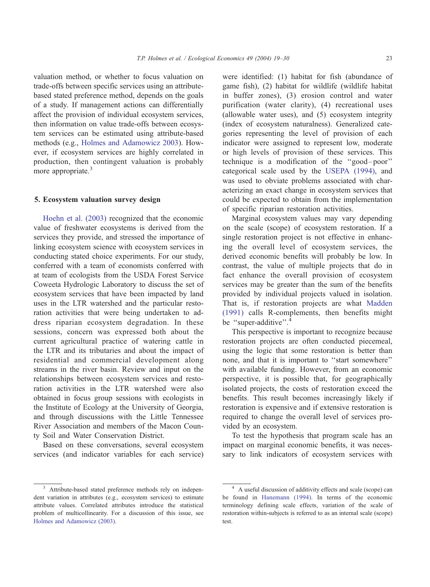valuation method, or whether to focus valuation on trade-offs between specific services using an attributebased stated preference method, depends on the goals of a study. If management actions can differentially affect the provision of individual ecosystem services, then information on value trade-offs between ecosystem services can be estimated using attribute-based methods (e.g., [Holmes and Adamowicz 2003\)](#page-11-0). However, if ecosystem services are highly correlated in production, then contingent valuation is probably more appropriate.<sup>3</sup>

### 5. Ecosystem valuation survey design

[Hoehn et al. \(2003\)](#page-11-0) recognized that the economic value of freshwater ecosystems is derived from the services they provide, and stressed the importance of linking ecosystem science with ecosystem services in conducting stated choice experiments. For our study, conferred with a team of economists conferred with at team of ecologists from the USDA Forest Service Coweeta Hydrologic Laboratory to discuss the set of ecosystem services that have been impacted by land uses in the LTR watershed and the particular restoration activities that were being undertaken to address riparian ecosystem degradation. In these sessions, concern was expressed both about the current agricultural practice of watering cattle in the LTR and its tributaries and about the impact of residential and commercial development along streams in the river basin. Review and input on the relationships between ecosystem services and restoration activities in the LTR watershed were also obtained in focus group sessions with ecologists in the Institute of Ecology at the University of Georgia, and through discussions with the Little Tennessee River Association and members of the Macon County Soil and Water Conservation District.

Based on these conversations, several ecosystem services (and indicator variables for each service) were identified: (1) habitat for fish (abundance of game fish), (2) habitat for wildlife (wildlife habitat in buffer zones), (3) erosion control and water purification (water clarity), (4) recreational uses (allowable water uses), and (5) ecosystem integrity (index of ecosystem naturalness). Generalized categories representing the level of provision of each indicator were assigned to represent low, moderate or high levels of provision of these services. This technique is a modification of the ''good – poor'' categorical scale used by the [USEPA \(1994\),](#page-11-0) and was used to obviate problems associated with characterizing an exact change in ecosystem services that could be expected to obtain from the implementation of specific riparian restoration activities.

Marginal ecosystem values may vary depending on the scale (scope) of ecosystem restoration. If a single restoration project is not effective in enhancing the overall level of ecosystem services, the derived economic benefits will probably be low. In contrast, the value of multiple projects that do in fact enhance the overall provision of ecosystem services may be greater than the sum of the benefits provided by individual projects valued in isolation. That is, if restoration projects are what [Madden](#page-11-0) (1991) calls R-complements, then benefits might be "super-additive".<sup>4</sup>

This perspective is important to recognize because restoration projects are often conducted piecemeal, using the logic that some restoration is better than none, and that it is important to ''start somewhere'' with available funding. However, from an economic perspective, it is possible that, for geographically isolated projects, the costs of restoration exceed the benefits. This result becomes increasingly likely if restoration is expensive and if extensive restoration is required to change the overall level of services provided by an ecosystem.

To test the hypothesis that program scale has an impact on marginal economic benefits, it was necessary to link indicators of ecosystem services with

Attribute-based stated preference methods rely on independent variation in attributes (e.g., ecosystem services) to estimate attribute values. Correlated attributes introduce the statistical problem of multicollinearity. For a discussion of this issue, see [Holmes and Adamowicz \(2003\).](#page-11-0)

<sup>4</sup> A useful discussion of additivity effects and scale (scope) can be found in [Hanemann \(1994\).](#page-11-0) In terms of the economic terminology defining scale effects, variation of the scale of restoration within-subjects is referred to as an internal scale (scope) test.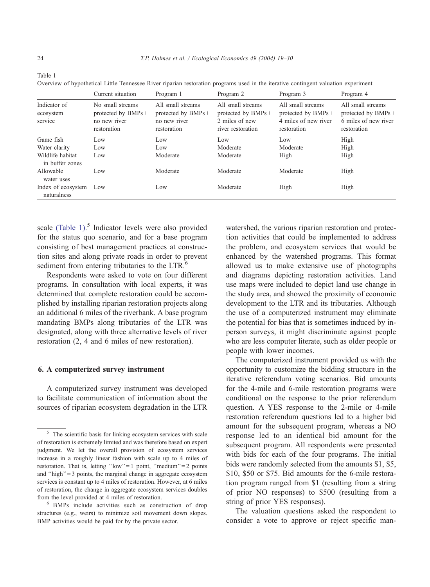| Overview of hypothetical Little Tennessee Kiver riparian restoration programs used in the nerative comingent valuation experiment |                                                                          |                                                                           |                                                                                   |                                                                                 |                                                                                   |
|-----------------------------------------------------------------------------------------------------------------------------------|--------------------------------------------------------------------------|---------------------------------------------------------------------------|-----------------------------------------------------------------------------------|---------------------------------------------------------------------------------|-----------------------------------------------------------------------------------|
|                                                                                                                                   | Current situation                                                        | Program 1                                                                 | Program 2                                                                         | Program 3                                                                       | Program 4                                                                         |
| Indicator of<br>ecosystem<br>service                                                                                              | No small streams<br>protected by $BMPs +$<br>no new river<br>restoration | All small streams<br>protected by $BMPs +$<br>no new river<br>restoration | All small streams<br>protected by $BMPs +$<br>2 miles of new<br>river restoration | All small streams<br>protected by BMPs +<br>4 miles of new river<br>restoration | All small streams<br>protected by $BMPs +$<br>6 miles of new river<br>restoration |
| Game fish                                                                                                                         | Low                                                                      | Low                                                                       | Low                                                                               | Low                                                                             | High                                                                              |
| Water clarity                                                                                                                     | Low                                                                      | Low                                                                       | Moderate                                                                          | Moderate                                                                        | High                                                                              |
| Wildlife habitat<br>in buffer zones                                                                                               | Low                                                                      | Moderate                                                                  | Moderate                                                                          | High                                                                            | High                                                                              |
| Allowable<br>water uses                                                                                                           | Low                                                                      | Moderate                                                                  | Moderate                                                                          | Moderate                                                                        | High                                                                              |
| Index of ecosystem<br>naturalness                                                                                                 | Low                                                                      | Low                                                                       | Moderate                                                                          | High                                                                            | High                                                                              |

| Overview of hypothetical Little Tennessee River riparian restoration programs used in the iterative contingent valuation experiment |  |  |
|-------------------------------------------------------------------------------------------------------------------------------------|--|--|

scale (Table 1). <sup>5</sup> Indicator levels were also provided for the status quo scenario, and for a base program consisting of best management practices at construction sites and along private roads in order to prevent sediment from entering tributaries to the LTR.<sup>6</sup>

Respondents were asked to vote on four different programs. In consultation with local experts, it was determined that complete restoration could be accomplished by installing riparian restoration projects along an additional 6 miles of the riverbank. A base program mandating BMPs along tributaries of the LTR was designated, along with three alternative levels of river restoration (2, 4 and 6 miles of new restoration).

#### 6. A computerized survey instrument

A computerized survey instrument was developed to facilitate communication of information about the sources of riparian ecosystem degradation in the LTR watershed, the various riparian restoration and protection activities that could be implemented to address the problem, and ecosystem services that would be enhanced by the watershed programs. This format allowed us to make extensive use of photographs and diagrams depicting restoration activities. Land use maps were included to depict land use change in the study area, and showed the proximity of economic development to the LTR and its tributaries. Although the use of a computerized instrument may eliminate the potential for bias that is sometimes induced by inperson surveys, it might discriminate against people who are less computer literate, such as older people or people with lower incomes.

The computerized instrument provided us with the opportunity to customize the bidding structure in the iterative referendum voting scenarios. Bid amounts for the 4-mile and 6-mile restoration programs were conditional on the response to the prior referendum question. A YES response to the 2-mile or 4-mile restoration referendum questions led to a higher bid amount for the subsequent program, whereas a NO response led to an identical bid amount for the subsequent program. All respondents were presented with bids for each of the four programs. The initial bids were randomly selected from the amounts \$1, \$5, \$10, \$50 or \$75. Bid amounts for the 6-mile restoration program ranged from \$1 (resulting from a string of prior NO responses) to \$500 (resulting from a string of prior YES responses).

The valuation questions asked the respondent to consider a vote to approve or reject specific man-

<span id="page-5-0"></span>Table 1

The scientific basis for linking ecosystem services with scale of restoration is extremely limited and was therefore based on expert judgment. We let the overall provision of ecosystem services increase in a roughly linear fashion with scale up to 4 miles of restoration. That is, letting "low"=1 point, "medium"=2 points and "high"= 3 points, the marginal change in aggregate ecosystem services is constant up to 4 miles of restoration. However, at 6 miles of restoration, the change in aggregate ecosystem services doubles from the level provided at 4 miles of restoration.

<sup>6</sup> BMPs include activities such as construction of drop structures (e.g., weirs) to minimize soil movement down slopes. BMP activities would be paid for by the private sector.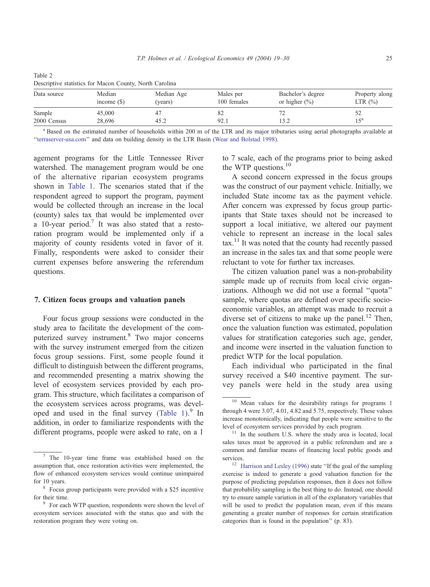| Departed business for mason county, rioral carolina |              |            |             |                   |                  |
|-----------------------------------------------------|--------------|------------|-------------|-------------------|------------------|
| Data source                                         | Median       | Median Age | Males per   | Bachelor's degree | Property along   |
|                                                     | income $(S)$ | (vears)    | 100 females | or higher $(\% )$ | LTR $(\%)$       |
| Sample                                              | 45,000       | 45.2       | $O\angle$   | Z                 | 52               |
| 2000 Census                                         | 28.696       |            | 92.1        | 3.2               | $1.5^{\text{a}}$ |

Descriptive statistics for Macon County, North Carolina

<span id="page-6-0"></span>Table 2

<sup>a</sup> [Based on the estimated number of households within 200 m of the LTR and its major tributaries using aerial photographs available at](#page-11-0) ''terraserver-usa.com'' and data on building density in the LTR Basin (Wear and Bolstad 1998).

agement programs for the Little Tennessee River watershed. The management program would be one of the alternative riparian ecosystem programs shown in [Table 1.](#page-5-0) The scenarios stated that if the respondent agreed to support the program, payment would be collected through an increase in the local (county) sales tax that would be implemented over a 10-year period.<sup>7</sup> It was also stated that a restoration program would be implemented only if a majority of county residents voted in favor of it. Finally, respondents were asked to consider their current expenses before answering the referendum questions.

#### 7. Citizen focus groups and valuation panels

Four focus group sessions were conducted in the study area to facilitate the development of the computerized survey instrument.<sup>8</sup> Two major concerns with the survey instrument emerged from the citizen focus group sessions. First, some people found it difficult to distinguish between the different programs, and recommended presenting a matrix showing the level of ecosystem services provided by each program. This structure, which facilitates a comparison of the ecosystem services across programs, was developed and used in the final survey [\(Table 1\).](#page-5-0) <sup>9</sup> In addition, in order to familiarize respondents with the different programs, people were asked to rate, on a 1

to 7 scale, each of the programs prior to being asked the WTP questions.<sup>10</sup>

A second concern expressed in the focus groups was the construct of our payment vehicle. Initially, we included State income tax as the payment vehicle. After concern was expressed by focus group participants that State taxes should not be increased to support a local initiative, we altered our payment vehicle to represent an increase in the local sales  $\text{tax.}^{11}$  It was noted that the county had recently passed an increase in the sales tax and that some people were reluctant to vote for further tax increases.

The citizen valuation panel was a non-probability sample made up of recruits from local civic organizations. Although we did not use a formal ''quota'' sample, where quotas are defined over specific socioeconomic variables, an attempt was made to recruit a diverse set of citizens to make up the panel.<sup>12</sup> Then, once the valuation function was estimated, population values for stratification categories such age, gender, and income were inserted in the valuation function to predict WTP for the local population.

Each individual who participated in the final survey received a \$40 incentive payment. The survey panels were held in the study area using

<sup>7</sup> The 10-year time frame was established based on the assumption that, once restoration activities were implemented, the flow of enhanced ecosystem services would continue unimpaired for 10 years.

<sup>8</sup> Focus group participants were provided with a \$25 incentive for their time.

<sup>&</sup>lt;sup>9</sup> For each WTP question, respondents were shown the level of ecosystem services associated with the status quo and with the restoration program they were voting on.

<sup>10</sup> Mean values for the desirability ratings for programs 1 through 4 were 3.07, 4.01, 4.82 and 5.75, respectively. These values increase monotonically, indicating that people were sensitive to the level of ecosystem services provided by each program.

<sup>&</sup>lt;sup>11</sup> In the southern U.S. where the study area is located, local sales taxes must be approved in a public referendum and are a common and familiar means of financing local public goods and services.

<sup>&</sup>lt;sup>12</sup> [Harrison and Lesley \(1996\)](#page-11-0) state "If the goal of the sampling exercise is indeed to generate a good valuation function for the purpose of predicting population responses, then it does not follow that probability sampling is the best thing to do. Instead, one should try to ensure sample variation in all of the explanatory variables that will be used to predict the population mean, even if this means generating a greater number of responses for certain stratification categories than is found in the population'' (p. 83).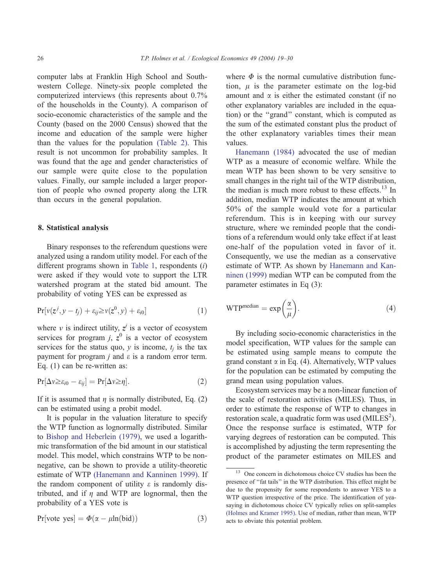computer labs at Franklin High School and Southwestern College. Ninety-six people completed the computerized interviews (this represents about 0.7% of the households in the County). A comparison of socio-economic characteristics of the sample and the County (based on the 2000 Census) showed that the income and education of the sample were higher than the values for the population [\(Table 2\).](#page-6-0) This result is not uncommon for probability samples. It was found that the age and gender characteristics of our sample were quite close to the population values. Finally, our sample included a larger proportion of people who owned property along the LTR than occurs in the general population.

#### 8. Statistical analysis

Binary responses to the referendum questions were analyzed using a random utility model. For each of the different programs shown in [Table 1,](#page-5-0) respondents (i) were asked if they would vote to support the LTR watershed program at the stated bid amount. The probability of voting YES can be expressed as

$$
Pr[v(z^j, y - t_j) + \varepsilon_{ij} \ge v(z^0, y) + \varepsilon_{i0}]
$$
\n(1)

where v is indirect utility,  $z^j$  is a vector of ecosystem services for program j,  $z^0$  is a vector of ecosystem services for the status quo,  $y$  is income,  $t_i$  is the tax payment for program  $j$  and  $\varepsilon$  is a random error term. Eq. (1) can be re-written as:

$$
Pr[\Delta v \ge \varepsilon_{i0} - \varepsilon_{ij}] = Pr[\Delta v \ge \eta]. \tag{2}
$$

If it is assumed that  $\eta$  is normally distributed, Eq. (2) can be estimated using a probit model.

It is popular in the valuation literature to specify the WTP function as lognormally distributed. Similar to [Bishop and Heberlein \(1979\),](#page-11-0) we used a logarithmic transformation of the bid amount in our statistical model. This model, which constrains WTP to be nonnegative, can be shown to provide a utility-theoretic estimate of WTP [\(Hanemann and Kanninen 1999\).](#page-11-0) If the random component of utility  $\varepsilon$  is randomly distributed, and if  $\eta$  and WTP are lognormal, then the probability of a YES vote is

$$
Pr[vote yes] = \Phi(\alpha - \mu ln(bid))
$$
\n(3)

where  $\Phi$  is the normal cumulative distribution function,  $\mu$  is the parameter estimate on the log-bid amount and  $\alpha$  is either the estimated constant (if no other explanatory variables are included in the equation) or the ''grand'' constant, which is computed as the sum of the estimated constant plus the product of the other explanatory variables times their mean values.

[Hanemann \(1984\)](#page-11-0) advocated the use of median WTP as a measure of economic welfare. While the mean WTP has been shown to be very sensitive to small changes in the right tail of the WTP distribution, the median is much more robust to these effects. $13$  In addition, median WTP indicates the amount at which 50% of the sample would vote for a particular referendum. This is in keeping with our survey structure, where we reminded people that the conditions of a referendum would only take effect if at least one-half of the population voted in favor of it. Consequently, we use the median as a conservative estimate of WTP. As shown by [Hanemann and Kan](#page-11-0)ninen (1999) median WTP can be computed from the parameter estimates in Eq (3):

$$
WTPmedian = exp\left(\frac{\alpha}{\mu}\right).
$$
 (4)

By including socio-economic characteristics in the model specification, WTP values for the sample can be estimated using sample means to compute the grand constant  $\alpha$  in Eq. (4). Alternatively, WTP values for the population can be estimated by computing the grand mean using population values.

Ecosystem services may be a non-linear function of the scale of restoration activities (MILES). Thus, in order to estimate the response of WTP to changes in restoration scale, a quadratic form was used ( $\text{MILES}^2$ ). Once the response surface is estimated, WTP for varying degrees of restoration can be computed. This is accomplished by adjusting the term representing the product of the parameter estimates on MILES and

One concern in dichotomous choice CV studies has been the presence of ''fat tails'' in the WTP distribution. This effect might be due to the propensity for some respondents to answer YES to a WTP question irrespective of the price. The identification of yeasaying in dichotomous choice CV typically relies on split-samples [\(Holmes and Kramer 1995\).](#page-11-0) Use of median, rather than mean, WTP acts to obviate this potential problem.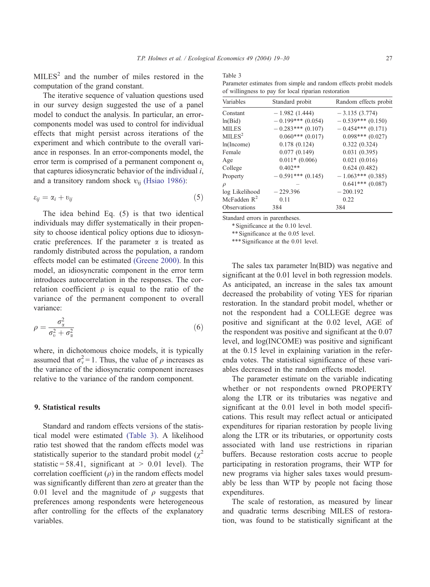$MILES<sup>2</sup>$  and the number of miles restored in the computation of the grand constant.

The iterative sequence of valuation questions used in our survey design suggested the use of a panel model to conduct the analysis. In particular, an errorcomponents model was used to control for individual effects that might persist across iterations of the experiment and which contribute to the overall variance in responses. In an error-components model, the error term is comprised of a permanent component  $\alpha_i$ that captures idiosyncratic behavior of the individual  $i$ , and a transitory random shock  $v_{ii}$  [\(Hsiao 1986\):](#page-11-0)

$$
\varepsilon_{ij} = \alpha_i + v_{ij} \tag{5}
$$

The idea behind Eq. (5) is that two identical individuals may differ systematically in their propensity to choose identical policy options due to idiosyncratic preferences. If the parameter  $\alpha$  is treated as randomly distributed across the population, a random effects model can be estimated [\(Greene 2000\).](#page-11-0) In this model, an idiosyncratic component in the error term introduces autocorrelation in the responses. The correlation coefficient  $\rho$  is equal to the ratio of the variance of the permanent component to overall variance:

$$
\rho = \frac{\sigma_{\alpha}^2}{\sigma_{v}^2 + \sigma_{\alpha}^2} \tag{6}
$$

where, in dichotomous choice models, it is typically assumed that  $\sigma_v^2 = 1$ . Thus, the value of  $\rho$  increases as the variance of the idiosyncratic component increases relative to the variance of the random component.

#### 9. Statistical results

Standard and random effects versions of the statistical model were estimated (Table 3). A likelihood ratio test showed that the random effects model was statistically superior to the standard probit model ( $\chi^2$ ) statistic = 58.41, significant at  $> 0.01$  level). The correlation coefficient  $(\rho)$  in the random effects model was significantly different than zero at greater than the 0.01 level and the magnitude of  $\rho$  suggests that preferences among respondents were heterogeneous after controlling for the effects of the explanatory variables.

| г<br>. .<br>. .<br>۰,<br>M.<br>۰, | ł |
|-----------------------------------|---|
|-----------------------------------|---|

Parameter estimates from simple and random effects probit models of willingness to pay for local riparian restoration

| Variables          | Standard probit     | Random effects probit |
|--------------------|---------------------|-----------------------|
| Constant           | $-1.982(1.444)$     | $-3.135(3.774)$       |
| ln(Bid)            | $-0.199***$ (0.054) | $-0.539***(0.150)$    |
| MILES              | $-0.283***(0.107)$  | $-0.454***(0.171)$    |
| $\mathrm{MILES}^2$ | $0.060***$ (0.017)  | $0.098***$ (0.027)    |
| ln(Income)         | 0.178(0.124)        | 0.322(0.324)          |
| Female             | 0.077(0.149)        | 0.031(0.395)          |
| Age                | $0.011*$ (0.006)    | 0.021(0.016)          |
| College            | $0.402**$           | 0.624(0.482)          |
| Property           | $-0.591***(0.145)$  | $-1.063***(0.385)$    |
| $\rho$             |                     | $0.641***(0.087)$     |
| log Likelihood     | $-229.396$          | $-200.192$            |
| McFadden $R^2$     | 0.11                | 0.22                  |
| Observations       | 384                 | 384                   |
|                    |                     |                       |

Standard errors in parentheses.

\* Significance at the 0.10 level.

\*\* Significance at the 0.05 level.

\*\*\* Significance at the 0.01 level.

The sales tax parameter ln(BID) was negative and significant at the 0.01 level in both regression models. As anticipated, an increase in the sales tax amount decreased the probability of voting YES for riparian restoration. In the standard probit model, whether or not the respondent had a COLLEGE degree was positive and significant at the 0.02 level, AGE of the respondent was positive and significant at the 0.07 level, and log(INCOME) was positive and significant at the 0.15 level in explaining variation in the referenda votes. The statistical significance of these variables decreased in the random effects model.

The parameter estimate on the variable indicating whether or not respondents owned PROPERTY along the LTR or its tributaries was negative and significant at the 0.01 level in both model specifications. This result may reflect actual or anticipated expenditures for riparian restoration by people living along the LTR or its tributaries, or opportunity costs associated with land use restrictions in riparian buffers. Because restoration costs accrue to people participating in restoration programs, their WTP for new programs via higher sales taxes would presumably be less than WTP by people not facing those expenditures.

The scale of restoration, as measured by linear and quadratic terms describing MILES of restoration, was found to be statistically significant at the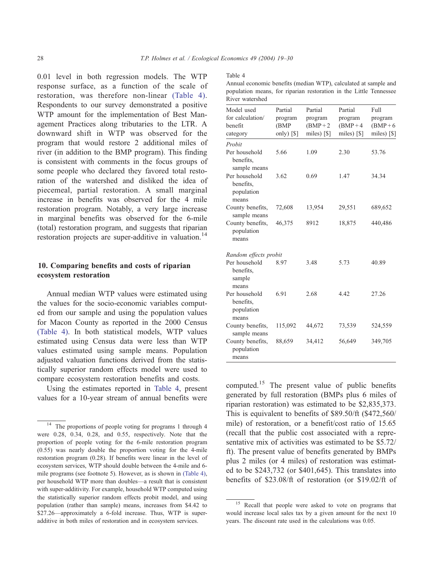0.01 level in both regression models. The WTP response surface, as a function of the scale of restoration, was therefore non-linear (Table 4). Respondents to our survey demonstrated a positive WTP amount for the implementation of Best Management Practices along tributaries to the LTR. A downward shift in WTP was observed for the program that would restore 2 additional miles of river (in addition to the BMP program). This finding is consistent with comments in the focus groups of some people who declared they favored total restoration of the watershed and disliked the idea of piecemeal, partial restoration. A small marginal increase in benefits was observed for the 4 mile restoration program. Notably, a very large increase in marginal benefits was observed for the 6-mile (total) restoration program, and suggests that riparian restoration projects are super-additive in valuation.<sup>14</sup>

# 10. Comparing benefits and costs of riparian ecosystem restoration

Annual median WTP values were estimated using the values for the socio-economic variables computed from our sample and using the population values for Macon County as reported in the 2000 Census (Table 4). In both statistical models, WTP values estimated using Census data were less than WTP values estimated using sample means. Population adjusted valuation functions derived from the statistically superior random effects model were used to compare ecosystem restoration benefits and costs.

Using the estimates reported in Table 4, present values for a 10-year stream of annual benefits were

|--|--|--|--|

Annual economic benefits (median WTP), calculated at sample and population means, for riparian restoration in the Little Tennessee River watershed

| Model used<br>for calculation/<br>benefit<br>category | Partial<br>program<br>(BMP)<br>only) [\$] | Partial<br>program<br>$(BMP + 2)$<br>miles) [\$] | Partial<br>program<br>$(BMP + 4)$<br>miles) [\$] | Full<br>program<br>$(BMP + 6)$<br>miles) [\$] |
|-------------------------------------------------------|-------------------------------------------|--------------------------------------------------|--------------------------------------------------|-----------------------------------------------|
| Probit                                                |                                           |                                                  |                                                  |                                               |
| Per household<br>benefits.<br>sample means            | 5.66                                      | 1.09                                             | 2.30                                             | 53.76                                         |
| Per household<br>benefits,<br>population<br>means     | 3.62                                      | 0.69                                             | 1.47                                             | 34.34                                         |
| County benefits,<br>sample means                      | 72,608                                    | 13,954                                           | 29,551                                           | 689,652                                       |
| County benefits,<br>population<br>means               | 46,375                                    | 8912                                             | 18,875                                           | 440,486                                       |
| Random effects probit                                 |                                           |                                                  |                                                  |                                               |
| Per household<br>benefits.<br>sample<br>means         | 8.97                                      | 3.48                                             | 5.73                                             | 40.89                                         |
| Per household<br>benefits,<br>population<br>means     | 6.91                                      | 2.68                                             | 4.42                                             | 27.26                                         |
| County benefits,<br>sample means                      | 115,092                                   | 44,672                                           | 73,539                                           | 524,559                                       |
| County benefits,<br>population<br>means               | 88,659                                    | 34,412                                           | 56,649                                           | 349,705                                       |

computed.<sup>15</sup> The present value of public benefits generated by full restoration (BMPs plus 6 miles of riparian restoration) was estimated to be \$2,835,373. This is equivalent to benefits of \$89.50/ft (\$472,560/ mile) of restoration, or a benefit/cost ratio of 15.65 (recall that the public cost associated with a representative mix of activities was estimated to be \$5.72/ ft). The present value of benefits generated by BMPs plus 2 miles (or 4 miles) of restoration was estimated to be \$243,732 (or \$401,645). This translates into benefits of \$23.08/ft of restoration (or \$19.02/ft of

<sup>&</sup>lt;sup>14</sup> The proportions of people voting for programs 1 through 4 were 0.28, 0.34, 0.28, and 0.55, respectively. Note that the proportion of people voting for the 6-mile restoration program (0.55) was nearly double the proportion voting for the 4-mile restoration program (0.28). If benefits were linear in the level of ecosystem services, WTP should double between the 4-mile and 6 mile programs (see footnote 5). However, as is shown in (Table 4), per household WTP more than doubles—a result that is consistent with super-additivity. For example, household WTP computed using the statistically superior random effects probit model, and using population (rather than sample) means, increases from \$4.42 to \$27.26—approximately a 6-fold increase. Thus, WTP is superadditive in both miles of restoration and in ecosystem services.

Recall that people were asked to vote on programs that would increase local sales tax by a given amount for the next 10 years. The discount rate used in the calculations was 0.05.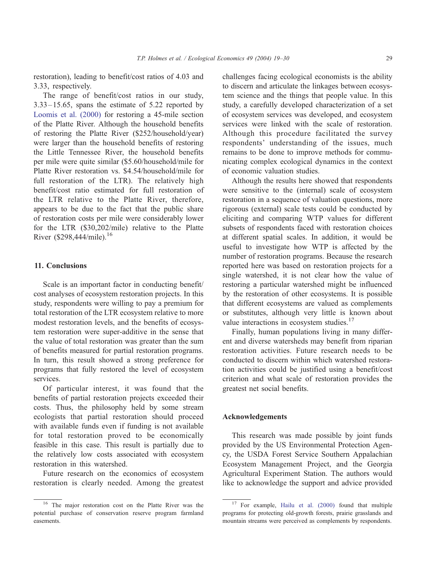restoration), leading to benefit/cost ratios of 4.03 and 3.33, respectively.

The range of benefit/cost ratios in our study, 3.33 –15.65, spans the estimate of 5.22 reported by [Loomis et al. \(2000\)](#page-11-0) for restoring a 45-mile section of the Platte River. Although the household benefits of restoring the Platte River (\$252/household/year) were larger than the household benefits of restoring the Little Tennessee River, the household benefits per mile were quite similar (\$5.60/household/mile for Platte River restoration vs. \$4.54/household/mile for full restoration of the LTR). The relatively high benefit/cost ratio estimated for full restoration of the LTR relative to the Platte River, therefore, appears to be due to the fact that the public share of restoration costs per mile were considerably lower for the LTR (\$30,202/mile) relative to the Platte River  $(\$298,444/mile).^{16}$ 

## 11. Conclusions

Scale is an important factor in conducting benefit/ cost analyses of ecosystem restoration projects. In this study, respondents were willing to pay a premium for total restoration of the LTR ecosystem relative to more modest restoration levels, and the benefits of ecosystem restoration were super-additive in the sense that the value of total restoration was greater than the sum of benefits measured for partial restoration programs. In turn, this result showed a strong preference for programs that fully restored the level of ecosystem services.

Of particular interest, it was found that the benefits of partial restoration projects exceeded their costs. Thus, the philosophy held by some stream ecologists that partial restoration should proceed with available funds even if funding is not available for total restoration proved to be economically feasible in this case. This result is partially due to the relatively low costs associated with ecosystem restoration in this watershed.

Future research on the economics of ecosystem restoration is clearly needed. Among the greatest challenges facing ecological economists is the ability to discern and articulate the linkages between ecosystem science and the things that people value. In this study, a carefully developed characterization of a set of ecosystem services was developed, and ecosystem services were linked with the scale of restoration. Although this procedure facilitated the survey respondents' understanding of the issues, much remains to be done to improve methods for communicating complex ecological dynamics in the context of economic valuation studies.

Although the results here showed that respondents were sensitive to the (internal) scale of ecosystem restoration in a sequence of valuation questions, more rigorous (external) scale tests could be conducted by eliciting and comparing WTP values for different subsets of respondents faced with restoration choices at different spatial scales. In addition, it would be useful to investigate how WTP is affected by the number of restoration programs. Because the research reported here was based on restoration projects for a single watershed, it is not clear how the value of restoring a particular watershed might be influenced by the restoration of other ecosystems. It is possible that different ecosystems are valued as complements or substitutes, although very little is known about value interactions in ecosystem studies.<sup>17</sup>

Finally, human populations living in many different and diverse watersheds may benefit from riparian restoration activities. Future research needs to be conducted to discern within which watershed restoration activities could be justified using a benefit/cost criterion and what scale of restoration provides the greatest net social benefits.

## Acknowledgements

This research was made possible by joint funds provided by the US Environmental Protection Agency, the USDA Forest Service Southern Appalachian Ecosystem Management Project, and the Georgia Agricultural Experiment Station. The authors would like to acknowledge the support and advice provided

<sup>16</sup> The major restoration cost on the Platte River was the potential purchase of conservation reserve program farmland easements.

<sup>17</sup> For example, [Hailu et al. \(2000\)](#page-11-0) found that multiple programs for protecting old-growth forests, prairie grasslands and mountain streams were perceived as complements by respondents.